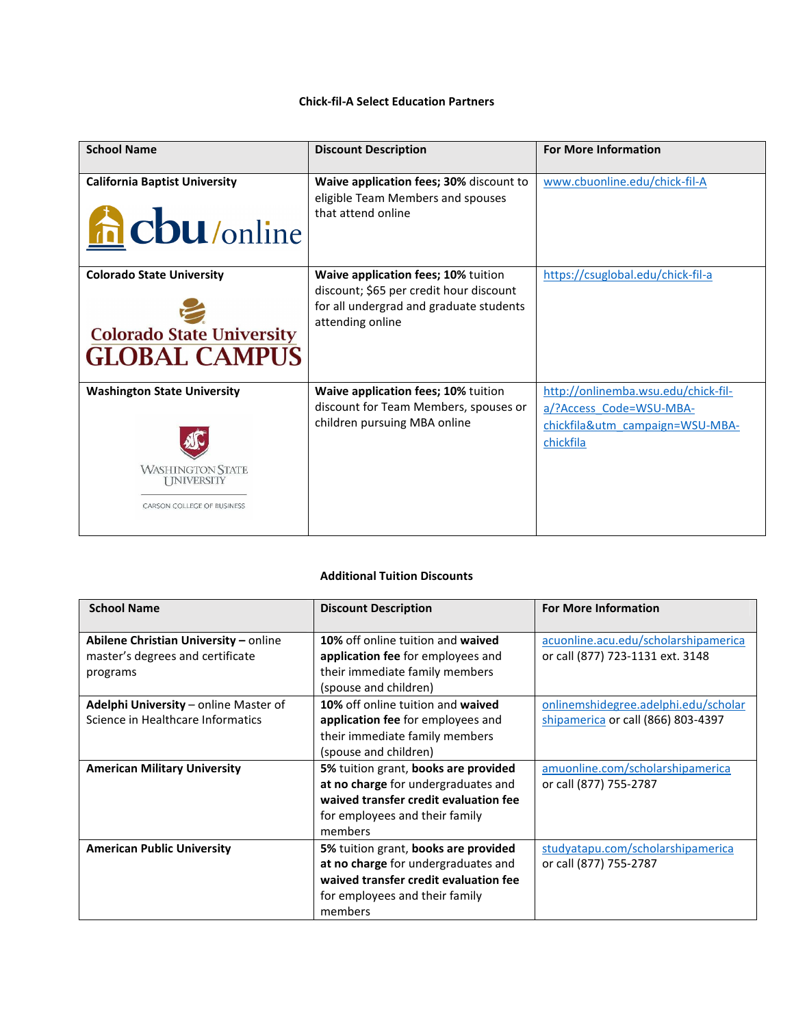## **Chick-fil-A Select Education Partners**

| <b>School Name</b>                                                                                                        | <b>Discount Description</b>                                                                                                                   | <b>For More Information</b>                                                                                    |
|---------------------------------------------------------------------------------------------------------------------------|-----------------------------------------------------------------------------------------------------------------------------------------------|----------------------------------------------------------------------------------------------------------------|
| <b>California Baptist University</b><br><b>a</b> Cbu/online                                                               | Waive application fees; 30% discount to<br>eligible Team Members and spouses<br>that attend online                                            | www.cbuonline.edu/chick-fil-A                                                                                  |
| <b>Colorado State University</b><br><b>Colorado State University</b><br><b>GLOBAL CAMPUS</b>                              | Waive application fees; 10% tuition<br>discount; \$65 per credit hour discount<br>for all undergrad and graduate students<br>attending online | https://csuglobal.edu/chick-fil-a                                                                              |
| <b>Washington State University</b><br><b>WASHINGTON STATE</b><br><b>I INIVERSITY</b><br><b>CARSON COLLEGE OF BUSINESS</b> | Waive application fees; 10% tuition<br>discount for Team Members, spouses or<br>children pursuing MBA online                                  | http://onlinemba.wsu.edu/chick-fil-<br>a/?Access Code=WSU-MBA-<br>chickfila&utm_campaign=WSU-MBA-<br>chickfila |

## **Additional Tuition Discounts**

| <b>School Name</b>                                                                                                             | <b>Discount Description</b>                                                                                                                                            | <b>For More Information</b>                                                                                      |
|--------------------------------------------------------------------------------------------------------------------------------|------------------------------------------------------------------------------------------------------------------------------------------------------------------------|------------------------------------------------------------------------------------------------------------------|
| Abilene Christian University - online<br>master's degrees and certificate<br>programs<br>Adelphi University – online Master of | 10% off online tuition and waived<br>application fee for employees and<br>their immediate family members<br>(spouse and children)<br>10% off online tuition and waived | acuonline.acu.edu/scholarshipamerica<br>or call (877) 723-1131 ext. 3148<br>onlinemshidegree.adelphi.edu/scholar |
| Science in Healthcare Informatics                                                                                              | application fee for employees and<br>their immediate family members<br>(spouse and children)                                                                           | shipamerica or call (866) 803-4397                                                                               |
| <b>American Military University</b>                                                                                            | 5% tuition grant, books are provided<br>at no charge for undergraduates and<br>waived transfer credit evaluation fee<br>for employees and their family<br>members      | amuonline.com/scholarshipamerica<br>or call (877) 755-2787                                                       |
| <b>American Public University</b>                                                                                              | 5% tuition grant, books are provided<br>at no charge for undergraduates and<br>waived transfer credit evaluation fee<br>for employees and their family<br>members      | studyatapu.com/scholarshipamerica<br>or call (877) 755-2787                                                      |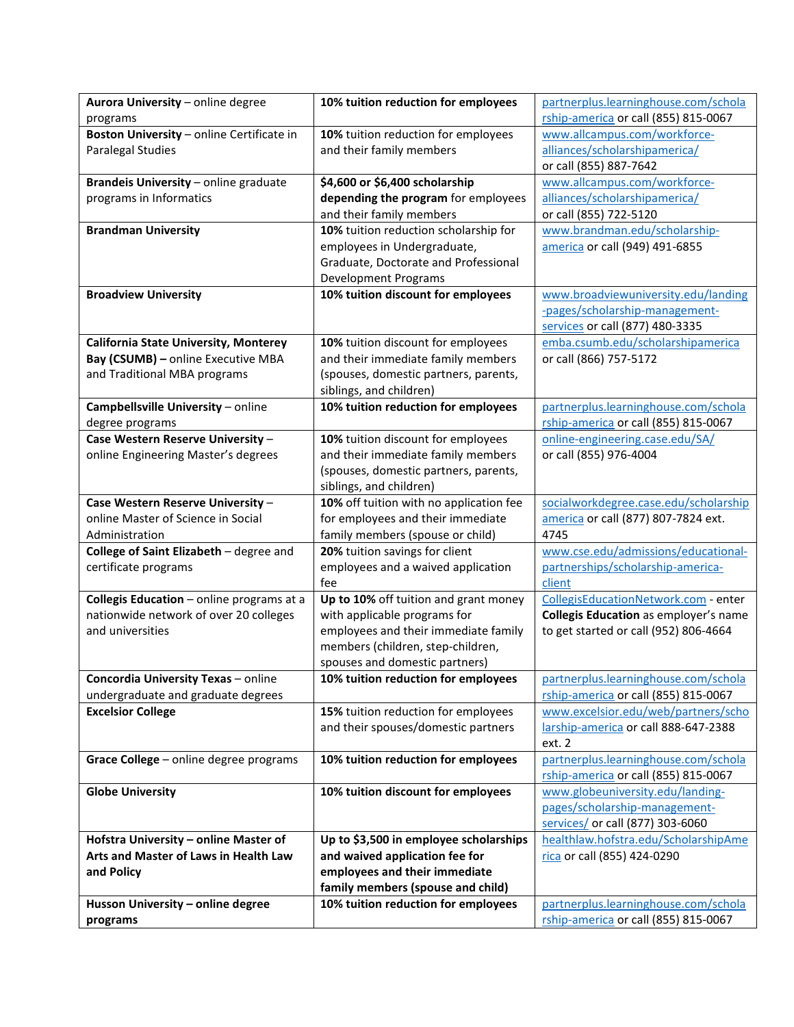| Aurora University - online degree            | 10% tuition reduction for employees     | partnerplus.learninghouse.com/schola         |
|----------------------------------------------|-----------------------------------------|----------------------------------------------|
| programs                                     |                                         | rship-america or call (855) 815-0067         |
| Boston University - online Certificate in    | 10% tuition reduction for employees     | www.allcampus.com/workforce-                 |
| <b>Paralegal Studies</b>                     | and their family members                | alliances/scholarshipamerica/                |
|                                              |                                         | or call (855) 887-7642                       |
| Brandeis University - online graduate        | \$4,600 or \$6,400 scholarship          | www.allcampus.com/workforce-                 |
| programs in Informatics                      | depending the program for employees     | alliances/scholarshipamerica/                |
|                                              | and their family members                | or call (855) 722-5120                       |
| <b>Brandman University</b>                   | 10% tuition reduction scholarship for   | www.brandman.edu/scholarship-                |
|                                              | employees in Undergraduate,             | america or call (949) 491-6855               |
|                                              | Graduate, Doctorate and Professional    |                                              |
|                                              | Development Programs                    |                                              |
| <b>Broadview University</b>                  | 10% tuition discount for employees      | www.broadviewuniversity.edu/landing          |
|                                              |                                         | -pages/scholarship-management-               |
|                                              |                                         | services or call (877) 480-3335              |
| <b>California State University, Monterey</b> | 10% tuition discount for employees      | emba.csumb.edu/scholarshipamerica            |
| Bay (CSUMB) - online Executive MBA           | and their immediate family members      | or call (866) 757-5172                       |
| and Traditional MBA programs                 | (spouses, domestic partners, parents,   |                                              |
|                                              | siblings, and children)                 |                                              |
| Campbellsville University - online           | 10% tuition reduction for employees     | partnerplus.learninghouse.com/schola         |
| degree programs                              |                                         | rship-america or call (855) 815-0067         |
| Case Western Reserve University -            | 10% tuition discount for employees      | online-engineering.case.edu/SA/              |
| online Engineering Master's degrees          | and their immediate family members      | or call (855) 976-4004                       |
|                                              | (spouses, domestic partners, parents,   |                                              |
|                                              | siblings, and children)                 |                                              |
| Case Western Reserve University -            | 10% off tuition with no application fee | socialworkdegree.case.edu/scholarship        |
| online Master of Science in Social           | for employees and their immediate       | america or call (877) 807-7824 ext.          |
| Administration                               | family members (spouse or child)        | 4745                                         |
| College of Saint Elizabeth - degree and      | 20% tuition savings for client          | www.cse.edu/admissions/educational-          |
| certificate programs                         | employees and a waived application      | partnerships/scholarship-america-            |
|                                              | fee                                     | client                                       |
| Collegis Education - online programs at a    | Up to 10% off tuition and grant money   | CollegisEducationNetwork.com - enter         |
| nationwide network of over 20 colleges       | with applicable programs for            | <b>Collegis Education</b> as employer's name |
| and universities                             | employees and their immediate family    | to get started or call (952) 806-4664        |
|                                              | members (children, step-children,       |                                              |
|                                              | spouses and domestic partners)          |                                              |
| Concordia University Texas - online          | 10% tuition reduction for employees     | partnerplus.learninghouse.com/schola         |
| undergraduate and graduate degrees           |                                         | rship-america or call (855) 815-0067         |
| <b>Excelsior College</b>                     | 15% tuition reduction for employees     | www.excelsior.edu/web/partners/scho          |
|                                              | and their spouses/domestic partners     | larship-america or call 888-647-2388         |
|                                              |                                         | ext. 2                                       |
| Grace College - online degree programs       | 10% tuition reduction for employees     | partnerplus.learninghouse.com/schola         |
|                                              |                                         | rship-america or call (855) 815-0067         |
| <b>Globe University</b>                      | 10% tuition discount for employees      | www.globeuniversity.edu/landing-             |
|                                              |                                         | pages/scholarship-management-                |
|                                              |                                         | services/ or call (877) 303-6060             |
| Hofstra University - online Master of        | Up to \$3,500 in employee scholarships  | healthlaw.hofstra.edu/ScholarshipAme         |
| Arts and Master of Laws in Health Law        | and waived application fee for          | rica or call (855) 424-0290                  |
| and Policy                                   | employees and their immediate           |                                              |
|                                              | family members (spouse and child)       |                                              |
| Husson University - online degree            | 10% tuition reduction for employees     | partnerplus.learninghouse.com/schola         |
| programs                                     |                                         | rship-america or call (855) 815-0067         |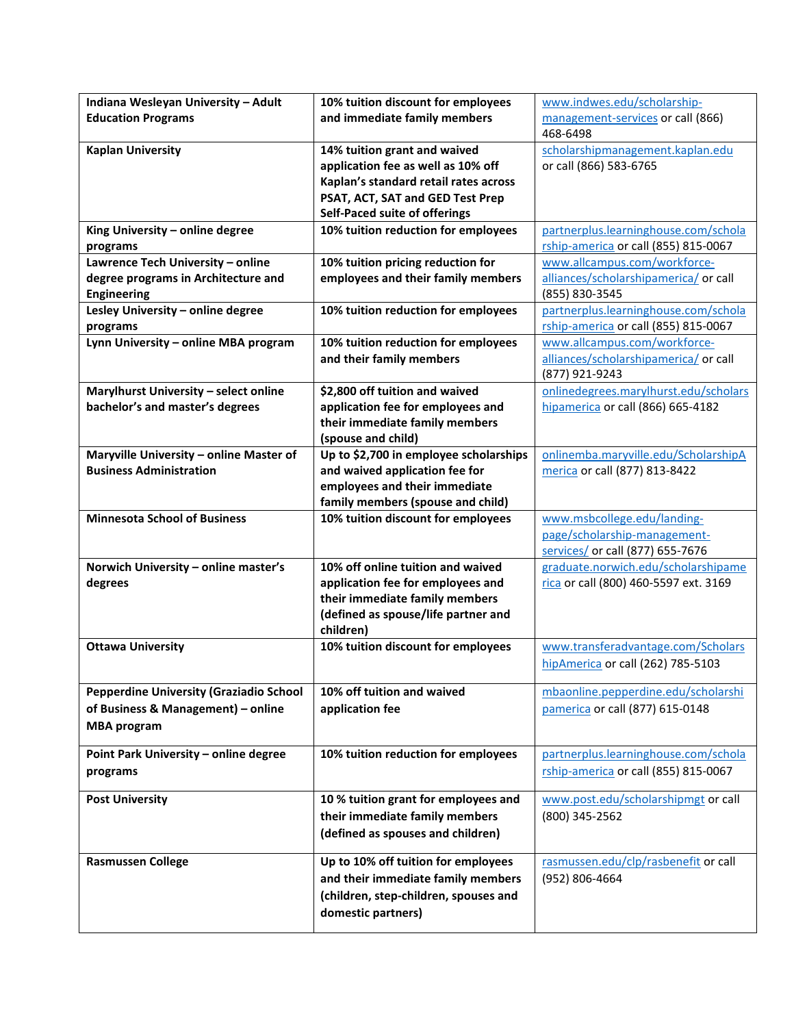| Indiana Wesleyan University - Adult            | 10% tuition discount for employees     | www.indwes.edu/scholarship-           |
|------------------------------------------------|----------------------------------------|---------------------------------------|
| <b>Education Programs</b>                      | and immediate family members           | management-services or call (866)     |
|                                                |                                        | 468-6498                              |
| <b>Kaplan University</b>                       | 14% tuition grant and waived           | scholarshipmanagement.kaplan.edu      |
|                                                | application fee as well as 10% off     | or call (866) 583-6765                |
|                                                | Kaplan's standard retail rates across  |                                       |
|                                                | PSAT, ACT, SAT and GED Test Prep       |                                       |
|                                                | Self-Paced suite of offerings          |                                       |
| King University - online degree                | 10% tuition reduction for employees    | partnerplus.learninghouse.com/schola  |
| programs                                       |                                        | rship-america or call (855) 815-0067  |
| Lawrence Tech University - online              | 10% tuition pricing reduction for      | www.allcampus.com/workforce-          |
| degree programs in Architecture and            | employees and their family members     | alliances/scholarshipamerica/ or call |
| <b>Engineering</b>                             |                                        | (855) 830-3545                        |
| Lesley University - online degree              | 10% tuition reduction for employees    | partnerplus.learninghouse.com/schola  |
| programs                                       |                                        | rship-america or call (855) 815-0067  |
| Lynn University - online MBA program           | 10% tuition reduction for employees    | www.allcampus.com/workforce-          |
|                                                | and their family members               | alliances/scholarshipamerica/ or call |
|                                                |                                        | (877) 921-9243                        |
| Marylhurst University - select online          | \$2,800 off tuition and waived         | onlinedegrees.marylhurst.edu/scholars |
| bachelor's and master's degrees                | application fee for employees and      | hipamerica or call (866) 665-4182     |
|                                                | their immediate family members         |                                       |
|                                                | (spouse and child)                     |                                       |
| Maryville University - online Master of        | Up to \$2,700 in employee scholarships | onlinemba.maryville.edu/ScholarshipA  |
| <b>Business Administration</b>                 | and waived application fee for         | merica or call (877) 813-8422         |
|                                                | employees and their immediate          |                                       |
|                                                | family members (spouse and child)      |                                       |
| <b>Minnesota School of Business</b>            | 10% tuition discount for employees     | www.msbcollege.edu/landing-           |
|                                                |                                        | page/scholarship-management-          |
|                                                |                                        | services/ or call (877) 655-7676      |
| Norwich University - online master's           | 10% off online tuition and waived      | graduate.norwich.edu/scholarshipame   |
| degrees                                        | application fee for employees and      | rica or call (800) 460-5597 ext. 3169 |
|                                                | their immediate family members         |                                       |
|                                                | (defined as spouse/life partner and    |                                       |
|                                                | children)                              |                                       |
| <b>Ottawa University</b>                       | 10% tuition discount for employees     | www.transferadvantage.com/Scholars    |
|                                                |                                        | hipAmerica or call (262) 785-5103     |
| <b>Pepperdine University (Graziadio School</b> | 10% off tuition and waived             | mbaonline.pepperdine.edu/scholarshi   |
|                                                |                                        |                                       |
| of Business & Management) - online             | application fee                        | pamerica or call (877) 615-0148       |
| <b>MBA</b> program                             |                                        |                                       |
| Point Park University - online degree          | 10% tuition reduction for employees    | partnerplus.learninghouse.com/schola  |
| programs                                       |                                        | rship-america or call (855) 815-0067  |
|                                                |                                        |                                       |
| <b>Post University</b>                         | 10 % tuition grant for employees and   | www.post.edu/scholarshipmgt or call   |
|                                                | their immediate family members         | (800) 345-2562                        |
|                                                | (defined as spouses and children)      |                                       |
|                                                |                                        |                                       |
| <b>Rasmussen College</b>                       | Up to 10% off tuition for employees    | rasmussen.edu/clp/rasbenefit or call  |
|                                                | and their immediate family members     | (952) 806-4664                        |
|                                                | (children, step-children, spouses and  |                                       |
|                                                | domestic partners)                     |                                       |
|                                                |                                        |                                       |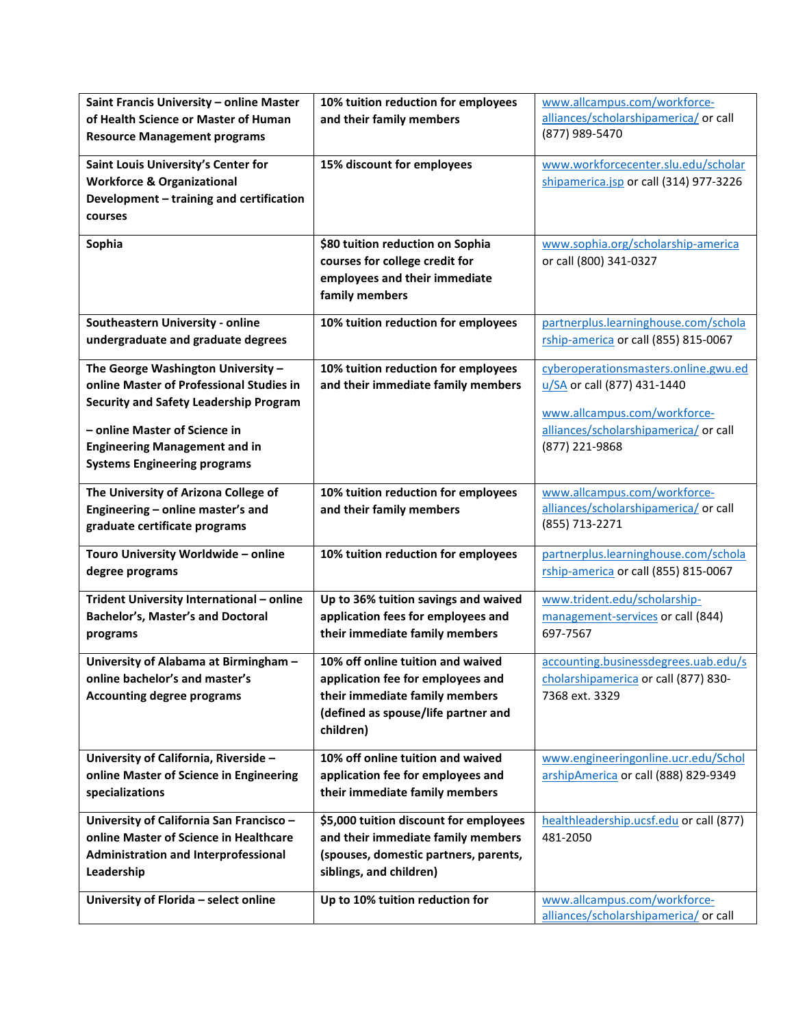| alliances/scholarshipamerica/ or call<br>of Health Science or Master of Human<br>and their family members<br>(877) 989-5470<br><b>Resource Management programs</b><br>15% discount for employees<br>www.workforcecenter.slu.edu/scholar<br>Saint Louis University's Center for<br><b>Workforce &amp; Organizational</b><br>shipamerica.jsp or call (314) 977-3226<br>Development - training and certification<br>courses<br>Sophia<br>\$80 tuition reduction on Sophia<br>www.sophia.org/scholarship-america<br>courses for college credit for<br>or call (800) 341-0327<br>employees and their immediate<br>family members<br>Southeastern University - online<br>partnerplus.learninghouse.com/schola<br>10% tuition reduction for employees<br>undergraduate and graduate degrees<br>rship-america or call (855) 815-0067<br>The George Washington University -<br>10% tuition reduction for employees<br>cyberoperationsmasters.online.gwu.ed<br>online Master of Professional Studies in<br>and their immediate family members<br>u/SA or call (877) 431-1440<br><b>Security and Safety Leadership Program</b><br>www.allcampus.com/workforce-<br>alliances/scholarshipamerica/ or call<br>- online Master of Science in<br><b>Engineering Management and in</b><br>(877) 221-9868<br><b>Systems Engineering programs</b><br>www.allcampus.com/workforce-<br>The University of Arizona College of<br>10% tuition reduction for employees<br>alliances/scholarshipamerica/ or call<br>Engineering - online master's and<br>and their family members<br>(855) 713-2271<br>graduate certificate programs<br>Touro University Worldwide - online<br>partnerplus.learninghouse.com/schola<br>10% tuition reduction for employees<br>rship-america or call (855) 815-0067<br>degree programs<br>Trident University International - online<br>Up to 36% tuition savings and waived<br>www.trident.edu/scholarship-<br>Bachelor's, Master's and Doctoral<br>application fees for employees and<br>management-services or call (844)<br>their immediate family members<br>697-7567<br>programs<br>10% off online tuition and waived<br>University of Alabama at Birmingham -<br>accounting.businessdegrees.uab.edu/s<br>online bachelor's and master's<br>application fee for employees and<br>cholarshipamerica or call (877) 830-<br>their immediate family members<br>7368 ext. 3329<br><b>Accounting degree programs</b><br>(defined as spouse/life partner and<br>children)<br>University of California, Riverside -<br>10% off online tuition and waived<br>www.engineeringonline.ucr.edu/Schol<br>online Master of Science in Engineering<br>application fee for employees and<br>arshipAmerica or call (888) 829-9349<br>specializations<br>their immediate family members<br>University of California San Francisco -<br>\$5,000 tuition discount for employees<br>healthleadership.ucsf.edu or call (877)<br>online Master of Science in Healthcare<br>and their immediate family members<br>481-2050<br>(spouses, domestic partners, parents,<br>Administration and Interprofessional<br>siblings, and children)<br>Leadership<br>University of Florida - select online<br>Up to 10% tuition reduction for<br>www.allcampus.com/workforce- | Saint Francis University - online Master | 10% tuition reduction for employees | www.allcampus.com/workforce-          |
|---------------------------------------------------------------------------------------------------------------------------------------------------------------------------------------------------------------------------------------------------------------------------------------------------------------------------------------------------------------------------------------------------------------------------------------------------------------------------------------------------------------------------------------------------------------------------------------------------------------------------------------------------------------------------------------------------------------------------------------------------------------------------------------------------------------------------------------------------------------------------------------------------------------------------------------------------------------------------------------------------------------------------------------------------------------------------------------------------------------------------------------------------------------------------------------------------------------------------------------------------------------------------------------------------------------------------------------------------------------------------------------------------------------------------------------------------------------------------------------------------------------------------------------------------------------------------------------------------------------------------------------------------------------------------------------------------------------------------------------------------------------------------------------------------------------------------------------------------------------------------------------------------------------------------------------------------------------------------------------------------------------------------------------------------------------------------------------------------------------------------------------------------------------------------------------------------------------------------------------------------------------------------------------------------------------------------------------------------------------------------------------------------------------------------------------------------------------------------------------------------------------------------------------------------------------------------------------------------------------------------------------------------------------------------------------------------------------------------------------------------------------------------------------------------------------------------------------------------------------------------------------------------------------------------------------------------------------------------------------------------------------------------------------------------------------------------------------------------------------------------------------------------------------------------------------------------------------------------------------------------|------------------------------------------|-------------------------------------|---------------------------------------|
|                                                                                                                                                                                                                                                                                                                                                                                                                                                                                                                                                                                                                                                                                                                                                                                                                                                                                                                                                                                                                                                                                                                                                                                                                                                                                                                                                                                                                                                                                                                                                                                                                                                                                                                                                                                                                                                                                                                                                                                                                                                                                                                                                                                                                                                                                                                                                                                                                                                                                                                                                                                                                                                                                                                                                                                                                                                                                                                                                                                                                                                                                                                                                                                                                                                   |                                          |                                     |                                       |
|                                                                                                                                                                                                                                                                                                                                                                                                                                                                                                                                                                                                                                                                                                                                                                                                                                                                                                                                                                                                                                                                                                                                                                                                                                                                                                                                                                                                                                                                                                                                                                                                                                                                                                                                                                                                                                                                                                                                                                                                                                                                                                                                                                                                                                                                                                                                                                                                                                                                                                                                                                                                                                                                                                                                                                                                                                                                                                                                                                                                                                                                                                                                                                                                                                                   |                                          |                                     |                                       |
|                                                                                                                                                                                                                                                                                                                                                                                                                                                                                                                                                                                                                                                                                                                                                                                                                                                                                                                                                                                                                                                                                                                                                                                                                                                                                                                                                                                                                                                                                                                                                                                                                                                                                                                                                                                                                                                                                                                                                                                                                                                                                                                                                                                                                                                                                                                                                                                                                                                                                                                                                                                                                                                                                                                                                                                                                                                                                                                                                                                                                                                                                                                                                                                                                                                   |                                          |                                     |                                       |
|                                                                                                                                                                                                                                                                                                                                                                                                                                                                                                                                                                                                                                                                                                                                                                                                                                                                                                                                                                                                                                                                                                                                                                                                                                                                                                                                                                                                                                                                                                                                                                                                                                                                                                                                                                                                                                                                                                                                                                                                                                                                                                                                                                                                                                                                                                                                                                                                                                                                                                                                                                                                                                                                                                                                                                                                                                                                                                                                                                                                                                                                                                                                                                                                                                                   |                                          |                                     |                                       |
|                                                                                                                                                                                                                                                                                                                                                                                                                                                                                                                                                                                                                                                                                                                                                                                                                                                                                                                                                                                                                                                                                                                                                                                                                                                                                                                                                                                                                                                                                                                                                                                                                                                                                                                                                                                                                                                                                                                                                                                                                                                                                                                                                                                                                                                                                                                                                                                                                                                                                                                                                                                                                                                                                                                                                                                                                                                                                                                                                                                                                                                                                                                                                                                                                                                   |                                          |                                     |                                       |
|                                                                                                                                                                                                                                                                                                                                                                                                                                                                                                                                                                                                                                                                                                                                                                                                                                                                                                                                                                                                                                                                                                                                                                                                                                                                                                                                                                                                                                                                                                                                                                                                                                                                                                                                                                                                                                                                                                                                                                                                                                                                                                                                                                                                                                                                                                                                                                                                                                                                                                                                                                                                                                                                                                                                                                                                                                                                                                                                                                                                                                                                                                                                                                                                                                                   |                                          |                                     |                                       |
|                                                                                                                                                                                                                                                                                                                                                                                                                                                                                                                                                                                                                                                                                                                                                                                                                                                                                                                                                                                                                                                                                                                                                                                                                                                                                                                                                                                                                                                                                                                                                                                                                                                                                                                                                                                                                                                                                                                                                                                                                                                                                                                                                                                                                                                                                                                                                                                                                                                                                                                                                                                                                                                                                                                                                                                                                                                                                                                                                                                                                                                                                                                                                                                                                                                   |                                          |                                     |                                       |
|                                                                                                                                                                                                                                                                                                                                                                                                                                                                                                                                                                                                                                                                                                                                                                                                                                                                                                                                                                                                                                                                                                                                                                                                                                                                                                                                                                                                                                                                                                                                                                                                                                                                                                                                                                                                                                                                                                                                                                                                                                                                                                                                                                                                                                                                                                                                                                                                                                                                                                                                                                                                                                                                                                                                                                                                                                                                                                                                                                                                                                                                                                                                                                                                                                                   |                                          |                                     |                                       |
|                                                                                                                                                                                                                                                                                                                                                                                                                                                                                                                                                                                                                                                                                                                                                                                                                                                                                                                                                                                                                                                                                                                                                                                                                                                                                                                                                                                                                                                                                                                                                                                                                                                                                                                                                                                                                                                                                                                                                                                                                                                                                                                                                                                                                                                                                                                                                                                                                                                                                                                                                                                                                                                                                                                                                                                                                                                                                                                                                                                                                                                                                                                                                                                                                                                   |                                          |                                     |                                       |
|                                                                                                                                                                                                                                                                                                                                                                                                                                                                                                                                                                                                                                                                                                                                                                                                                                                                                                                                                                                                                                                                                                                                                                                                                                                                                                                                                                                                                                                                                                                                                                                                                                                                                                                                                                                                                                                                                                                                                                                                                                                                                                                                                                                                                                                                                                                                                                                                                                                                                                                                                                                                                                                                                                                                                                                                                                                                                                                                                                                                                                                                                                                                                                                                                                                   |                                          |                                     |                                       |
|                                                                                                                                                                                                                                                                                                                                                                                                                                                                                                                                                                                                                                                                                                                                                                                                                                                                                                                                                                                                                                                                                                                                                                                                                                                                                                                                                                                                                                                                                                                                                                                                                                                                                                                                                                                                                                                                                                                                                                                                                                                                                                                                                                                                                                                                                                                                                                                                                                                                                                                                                                                                                                                                                                                                                                                                                                                                                                                                                                                                                                                                                                                                                                                                                                                   |                                          |                                     |                                       |
|                                                                                                                                                                                                                                                                                                                                                                                                                                                                                                                                                                                                                                                                                                                                                                                                                                                                                                                                                                                                                                                                                                                                                                                                                                                                                                                                                                                                                                                                                                                                                                                                                                                                                                                                                                                                                                                                                                                                                                                                                                                                                                                                                                                                                                                                                                                                                                                                                                                                                                                                                                                                                                                                                                                                                                                                                                                                                                                                                                                                                                                                                                                                                                                                                                                   |                                          |                                     |                                       |
|                                                                                                                                                                                                                                                                                                                                                                                                                                                                                                                                                                                                                                                                                                                                                                                                                                                                                                                                                                                                                                                                                                                                                                                                                                                                                                                                                                                                                                                                                                                                                                                                                                                                                                                                                                                                                                                                                                                                                                                                                                                                                                                                                                                                                                                                                                                                                                                                                                                                                                                                                                                                                                                                                                                                                                                                                                                                                                                                                                                                                                                                                                                                                                                                                                                   |                                          |                                     |                                       |
|                                                                                                                                                                                                                                                                                                                                                                                                                                                                                                                                                                                                                                                                                                                                                                                                                                                                                                                                                                                                                                                                                                                                                                                                                                                                                                                                                                                                                                                                                                                                                                                                                                                                                                                                                                                                                                                                                                                                                                                                                                                                                                                                                                                                                                                                                                                                                                                                                                                                                                                                                                                                                                                                                                                                                                                                                                                                                                                                                                                                                                                                                                                                                                                                                                                   |                                          |                                     |                                       |
|                                                                                                                                                                                                                                                                                                                                                                                                                                                                                                                                                                                                                                                                                                                                                                                                                                                                                                                                                                                                                                                                                                                                                                                                                                                                                                                                                                                                                                                                                                                                                                                                                                                                                                                                                                                                                                                                                                                                                                                                                                                                                                                                                                                                                                                                                                                                                                                                                                                                                                                                                                                                                                                                                                                                                                                                                                                                                                                                                                                                                                                                                                                                                                                                                                                   |                                          |                                     |                                       |
|                                                                                                                                                                                                                                                                                                                                                                                                                                                                                                                                                                                                                                                                                                                                                                                                                                                                                                                                                                                                                                                                                                                                                                                                                                                                                                                                                                                                                                                                                                                                                                                                                                                                                                                                                                                                                                                                                                                                                                                                                                                                                                                                                                                                                                                                                                                                                                                                                                                                                                                                                                                                                                                                                                                                                                                                                                                                                                                                                                                                                                                                                                                                                                                                                                                   |                                          |                                     |                                       |
|                                                                                                                                                                                                                                                                                                                                                                                                                                                                                                                                                                                                                                                                                                                                                                                                                                                                                                                                                                                                                                                                                                                                                                                                                                                                                                                                                                                                                                                                                                                                                                                                                                                                                                                                                                                                                                                                                                                                                                                                                                                                                                                                                                                                                                                                                                                                                                                                                                                                                                                                                                                                                                                                                                                                                                                                                                                                                                                                                                                                                                                                                                                                                                                                                                                   |                                          |                                     |                                       |
|                                                                                                                                                                                                                                                                                                                                                                                                                                                                                                                                                                                                                                                                                                                                                                                                                                                                                                                                                                                                                                                                                                                                                                                                                                                                                                                                                                                                                                                                                                                                                                                                                                                                                                                                                                                                                                                                                                                                                                                                                                                                                                                                                                                                                                                                                                                                                                                                                                                                                                                                                                                                                                                                                                                                                                                                                                                                                                                                                                                                                                                                                                                                                                                                                                                   |                                          |                                     |                                       |
|                                                                                                                                                                                                                                                                                                                                                                                                                                                                                                                                                                                                                                                                                                                                                                                                                                                                                                                                                                                                                                                                                                                                                                                                                                                                                                                                                                                                                                                                                                                                                                                                                                                                                                                                                                                                                                                                                                                                                                                                                                                                                                                                                                                                                                                                                                                                                                                                                                                                                                                                                                                                                                                                                                                                                                                                                                                                                                                                                                                                                                                                                                                                                                                                                                                   |                                          |                                     |                                       |
|                                                                                                                                                                                                                                                                                                                                                                                                                                                                                                                                                                                                                                                                                                                                                                                                                                                                                                                                                                                                                                                                                                                                                                                                                                                                                                                                                                                                                                                                                                                                                                                                                                                                                                                                                                                                                                                                                                                                                                                                                                                                                                                                                                                                                                                                                                                                                                                                                                                                                                                                                                                                                                                                                                                                                                                                                                                                                                                                                                                                                                                                                                                                                                                                                                                   |                                          |                                     |                                       |
|                                                                                                                                                                                                                                                                                                                                                                                                                                                                                                                                                                                                                                                                                                                                                                                                                                                                                                                                                                                                                                                                                                                                                                                                                                                                                                                                                                                                                                                                                                                                                                                                                                                                                                                                                                                                                                                                                                                                                                                                                                                                                                                                                                                                                                                                                                                                                                                                                                                                                                                                                                                                                                                                                                                                                                                                                                                                                                                                                                                                                                                                                                                                                                                                                                                   |                                          |                                     |                                       |
|                                                                                                                                                                                                                                                                                                                                                                                                                                                                                                                                                                                                                                                                                                                                                                                                                                                                                                                                                                                                                                                                                                                                                                                                                                                                                                                                                                                                                                                                                                                                                                                                                                                                                                                                                                                                                                                                                                                                                                                                                                                                                                                                                                                                                                                                                                                                                                                                                                                                                                                                                                                                                                                                                                                                                                                                                                                                                                                                                                                                                                                                                                                                                                                                                                                   |                                          |                                     |                                       |
|                                                                                                                                                                                                                                                                                                                                                                                                                                                                                                                                                                                                                                                                                                                                                                                                                                                                                                                                                                                                                                                                                                                                                                                                                                                                                                                                                                                                                                                                                                                                                                                                                                                                                                                                                                                                                                                                                                                                                                                                                                                                                                                                                                                                                                                                                                                                                                                                                                                                                                                                                                                                                                                                                                                                                                                                                                                                                                                                                                                                                                                                                                                                                                                                                                                   |                                          |                                     |                                       |
|                                                                                                                                                                                                                                                                                                                                                                                                                                                                                                                                                                                                                                                                                                                                                                                                                                                                                                                                                                                                                                                                                                                                                                                                                                                                                                                                                                                                                                                                                                                                                                                                                                                                                                                                                                                                                                                                                                                                                                                                                                                                                                                                                                                                                                                                                                                                                                                                                                                                                                                                                                                                                                                                                                                                                                                                                                                                                                                                                                                                                                                                                                                                                                                                                                                   |                                          |                                     |                                       |
|                                                                                                                                                                                                                                                                                                                                                                                                                                                                                                                                                                                                                                                                                                                                                                                                                                                                                                                                                                                                                                                                                                                                                                                                                                                                                                                                                                                                                                                                                                                                                                                                                                                                                                                                                                                                                                                                                                                                                                                                                                                                                                                                                                                                                                                                                                                                                                                                                                                                                                                                                                                                                                                                                                                                                                                                                                                                                                                                                                                                                                                                                                                                                                                                                                                   |                                          |                                     |                                       |
|                                                                                                                                                                                                                                                                                                                                                                                                                                                                                                                                                                                                                                                                                                                                                                                                                                                                                                                                                                                                                                                                                                                                                                                                                                                                                                                                                                                                                                                                                                                                                                                                                                                                                                                                                                                                                                                                                                                                                                                                                                                                                                                                                                                                                                                                                                                                                                                                                                                                                                                                                                                                                                                                                                                                                                                                                                                                                                                                                                                                                                                                                                                                                                                                                                                   |                                          |                                     |                                       |
|                                                                                                                                                                                                                                                                                                                                                                                                                                                                                                                                                                                                                                                                                                                                                                                                                                                                                                                                                                                                                                                                                                                                                                                                                                                                                                                                                                                                                                                                                                                                                                                                                                                                                                                                                                                                                                                                                                                                                                                                                                                                                                                                                                                                                                                                                                                                                                                                                                                                                                                                                                                                                                                                                                                                                                                                                                                                                                                                                                                                                                                                                                                                                                                                                                                   |                                          |                                     |                                       |
|                                                                                                                                                                                                                                                                                                                                                                                                                                                                                                                                                                                                                                                                                                                                                                                                                                                                                                                                                                                                                                                                                                                                                                                                                                                                                                                                                                                                                                                                                                                                                                                                                                                                                                                                                                                                                                                                                                                                                                                                                                                                                                                                                                                                                                                                                                                                                                                                                                                                                                                                                                                                                                                                                                                                                                                                                                                                                                                                                                                                                                                                                                                                                                                                                                                   |                                          |                                     |                                       |
|                                                                                                                                                                                                                                                                                                                                                                                                                                                                                                                                                                                                                                                                                                                                                                                                                                                                                                                                                                                                                                                                                                                                                                                                                                                                                                                                                                                                                                                                                                                                                                                                                                                                                                                                                                                                                                                                                                                                                                                                                                                                                                                                                                                                                                                                                                                                                                                                                                                                                                                                                                                                                                                                                                                                                                                                                                                                                                                                                                                                                                                                                                                                                                                                                                                   |                                          |                                     |                                       |
|                                                                                                                                                                                                                                                                                                                                                                                                                                                                                                                                                                                                                                                                                                                                                                                                                                                                                                                                                                                                                                                                                                                                                                                                                                                                                                                                                                                                                                                                                                                                                                                                                                                                                                                                                                                                                                                                                                                                                                                                                                                                                                                                                                                                                                                                                                                                                                                                                                                                                                                                                                                                                                                                                                                                                                                                                                                                                                                                                                                                                                                                                                                                                                                                                                                   |                                          |                                     |                                       |
|                                                                                                                                                                                                                                                                                                                                                                                                                                                                                                                                                                                                                                                                                                                                                                                                                                                                                                                                                                                                                                                                                                                                                                                                                                                                                                                                                                                                                                                                                                                                                                                                                                                                                                                                                                                                                                                                                                                                                                                                                                                                                                                                                                                                                                                                                                                                                                                                                                                                                                                                                                                                                                                                                                                                                                                                                                                                                                                                                                                                                                                                                                                                                                                                                                                   |                                          |                                     |                                       |
|                                                                                                                                                                                                                                                                                                                                                                                                                                                                                                                                                                                                                                                                                                                                                                                                                                                                                                                                                                                                                                                                                                                                                                                                                                                                                                                                                                                                                                                                                                                                                                                                                                                                                                                                                                                                                                                                                                                                                                                                                                                                                                                                                                                                                                                                                                                                                                                                                                                                                                                                                                                                                                                                                                                                                                                                                                                                                                                                                                                                                                                                                                                                                                                                                                                   |                                          |                                     |                                       |
|                                                                                                                                                                                                                                                                                                                                                                                                                                                                                                                                                                                                                                                                                                                                                                                                                                                                                                                                                                                                                                                                                                                                                                                                                                                                                                                                                                                                                                                                                                                                                                                                                                                                                                                                                                                                                                                                                                                                                                                                                                                                                                                                                                                                                                                                                                                                                                                                                                                                                                                                                                                                                                                                                                                                                                                                                                                                                                                                                                                                                                                                                                                                                                                                                                                   |                                          |                                     |                                       |
|                                                                                                                                                                                                                                                                                                                                                                                                                                                                                                                                                                                                                                                                                                                                                                                                                                                                                                                                                                                                                                                                                                                                                                                                                                                                                                                                                                                                                                                                                                                                                                                                                                                                                                                                                                                                                                                                                                                                                                                                                                                                                                                                                                                                                                                                                                                                                                                                                                                                                                                                                                                                                                                                                                                                                                                                                                                                                                                                                                                                                                                                                                                                                                                                                                                   |                                          |                                     |                                       |
|                                                                                                                                                                                                                                                                                                                                                                                                                                                                                                                                                                                                                                                                                                                                                                                                                                                                                                                                                                                                                                                                                                                                                                                                                                                                                                                                                                                                                                                                                                                                                                                                                                                                                                                                                                                                                                                                                                                                                                                                                                                                                                                                                                                                                                                                                                                                                                                                                                                                                                                                                                                                                                                                                                                                                                                                                                                                                                                                                                                                                                                                                                                                                                                                                                                   |                                          |                                     |                                       |
|                                                                                                                                                                                                                                                                                                                                                                                                                                                                                                                                                                                                                                                                                                                                                                                                                                                                                                                                                                                                                                                                                                                                                                                                                                                                                                                                                                                                                                                                                                                                                                                                                                                                                                                                                                                                                                                                                                                                                                                                                                                                                                                                                                                                                                                                                                                                                                                                                                                                                                                                                                                                                                                                                                                                                                                                                                                                                                                                                                                                                                                                                                                                                                                                                                                   |                                          |                                     |                                       |
|                                                                                                                                                                                                                                                                                                                                                                                                                                                                                                                                                                                                                                                                                                                                                                                                                                                                                                                                                                                                                                                                                                                                                                                                                                                                                                                                                                                                                                                                                                                                                                                                                                                                                                                                                                                                                                                                                                                                                                                                                                                                                                                                                                                                                                                                                                                                                                                                                                                                                                                                                                                                                                                                                                                                                                                                                                                                                                                                                                                                                                                                                                                                                                                                                                                   |                                          |                                     |                                       |
|                                                                                                                                                                                                                                                                                                                                                                                                                                                                                                                                                                                                                                                                                                                                                                                                                                                                                                                                                                                                                                                                                                                                                                                                                                                                                                                                                                                                                                                                                                                                                                                                                                                                                                                                                                                                                                                                                                                                                                                                                                                                                                                                                                                                                                                                                                                                                                                                                                                                                                                                                                                                                                                                                                                                                                                                                                                                                                                                                                                                                                                                                                                                                                                                                                                   |                                          |                                     |                                       |
|                                                                                                                                                                                                                                                                                                                                                                                                                                                                                                                                                                                                                                                                                                                                                                                                                                                                                                                                                                                                                                                                                                                                                                                                                                                                                                                                                                                                                                                                                                                                                                                                                                                                                                                                                                                                                                                                                                                                                                                                                                                                                                                                                                                                                                                                                                                                                                                                                                                                                                                                                                                                                                                                                                                                                                                                                                                                                                                                                                                                                                                                                                                                                                                                                                                   |                                          |                                     |                                       |
|                                                                                                                                                                                                                                                                                                                                                                                                                                                                                                                                                                                                                                                                                                                                                                                                                                                                                                                                                                                                                                                                                                                                                                                                                                                                                                                                                                                                                                                                                                                                                                                                                                                                                                                                                                                                                                                                                                                                                                                                                                                                                                                                                                                                                                                                                                                                                                                                                                                                                                                                                                                                                                                                                                                                                                                                                                                                                                                                                                                                                                                                                                                                                                                                                                                   |                                          |                                     |                                       |
|                                                                                                                                                                                                                                                                                                                                                                                                                                                                                                                                                                                                                                                                                                                                                                                                                                                                                                                                                                                                                                                                                                                                                                                                                                                                                                                                                                                                                                                                                                                                                                                                                                                                                                                                                                                                                                                                                                                                                                                                                                                                                                                                                                                                                                                                                                                                                                                                                                                                                                                                                                                                                                                                                                                                                                                                                                                                                                                                                                                                                                                                                                                                                                                                                                                   |                                          |                                     |                                       |
|                                                                                                                                                                                                                                                                                                                                                                                                                                                                                                                                                                                                                                                                                                                                                                                                                                                                                                                                                                                                                                                                                                                                                                                                                                                                                                                                                                                                                                                                                                                                                                                                                                                                                                                                                                                                                                                                                                                                                                                                                                                                                                                                                                                                                                                                                                                                                                                                                                                                                                                                                                                                                                                                                                                                                                                                                                                                                                                                                                                                                                                                                                                                                                                                                                                   |                                          |                                     |                                       |
|                                                                                                                                                                                                                                                                                                                                                                                                                                                                                                                                                                                                                                                                                                                                                                                                                                                                                                                                                                                                                                                                                                                                                                                                                                                                                                                                                                                                                                                                                                                                                                                                                                                                                                                                                                                                                                                                                                                                                                                                                                                                                                                                                                                                                                                                                                                                                                                                                                                                                                                                                                                                                                                                                                                                                                                                                                                                                                                                                                                                                                                                                                                                                                                                                                                   |                                          |                                     |                                       |
|                                                                                                                                                                                                                                                                                                                                                                                                                                                                                                                                                                                                                                                                                                                                                                                                                                                                                                                                                                                                                                                                                                                                                                                                                                                                                                                                                                                                                                                                                                                                                                                                                                                                                                                                                                                                                                                                                                                                                                                                                                                                                                                                                                                                                                                                                                                                                                                                                                                                                                                                                                                                                                                                                                                                                                                                                                                                                                                                                                                                                                                                                                                                                                                                                                                   |                                          |                                     |                                       |
|                                                                                                                                                                                                                                                                                                                                                                                                                                                                                                                                                                                                                                                                                                                                                                                                                                                                                                                                                                                                                                                                                                                                                                                                                                                                                                                                                                                                                                                                                                                                                                                                                                                                                                                                                                                                                                                                                                                                                                                                                                                                                                                                                                                                                                                                                                                                                                                                                                                                                                                                                                                                                                                                                                                                                                                                                                                                                                                                                                                                                                                                                                                                                                                                                                                   |                                          |                                     |                                       |
|                                                                                                                                                                                                                                                                                                                                                                                                                                                                                                                                                                                                                                                                                                                                                                                                                                                                                                                                                                                                                                                                                                                                                                                                                                                                                                                                                                                                                                                                                                                                                                                                                                                                                                                                                                                                                                                                                                                                                                                                                                                                                                                                                                                                                                                                                                                                                                                                                                                                                                                                                                                                                                                                                                                                                                                                                                                                                                                                                                                                                                                                                                                                                                                                                                                   |                                          |                                     |                                       |
|                                                                                                                                                                                                                                                                                                                                                                                                                                                                                                                                                                                                                                                                                                                                                                                                                                                                                                                                                                                                                                                                                                                                                                                                                                                                                                                                                                                                                                                                                                                                                                                                                                                                                                                                                                                                                                                                                                                                                                                                                                                                                                                                                                                                                                                                                                                                                                                                                                                                                                                                                                                                                                                                                                                                                                                                                                                                                                                                                                                                                                                                                                                                                                                                                                                   |                                          |                                     |                                       |
|                                                                                                                                                                                                                                                                                                                                                                                                                                                                                                                                                                                                                                                                                                                                                                                                                                                                                                                                                                                                                                                                                                                                                                                                                                                                                                                                                                                                                                                                                                                                                                                                                                                                                                                                                                                                                                                                                                                                                                                                                                                                                                                                                                                                                                                                                                                                                                                                                                                                                                                                                                                                                                                                                                                                                                                                                                                                                                                                                                                                                                                                                                                                                                                                                                                   |                                          |                                     |                                       |
|                                                                                                                                                                                                                                                                                                                                                                                                                                                                                                                                                                                                                                                                                                                                                                                                                                                                                                                                                                                                                                                                                                                                                                                                                                                                                                                                                                                                                                                                                                                                                                                                                                                                                                                                                                                                                                                                                                                                                                                                                                                                                                                                                                                                                                                                                                                                                                                                                                                                                                                                                                                                                                                                                                                                                                                                                                                                                                                                                                                                                                                                                                                                                                                                                                                   |                                          |                                     |                                       |
|                                                                                                                                                                                                                                                                                                                                                                                                                                                                                                                                                                                                                                                                                                                                                                                                                                                                                                                                                                                                                                                                                                                                                                                                                                                                                                                                                                                                                                                                                                                                                                                                                                                                                                                                                                                                                                                                                                                                                                                                                                                                                                                                                                                                                                                                                                                                                                                                                                                                                                                                                                                                                                                                                                                                                                                                                                                                                                                                                                                                                                                                                                                                                                                                                                                   |                                          |                                     |                                       |
|                                                                                                                                                                                                                                                                                                                                                                                                                                                                                                                                                                                                                                                                                                                                                                                                                                                                                                                                                                                                                                                                                                                                                                                                                                                                                                                                                                                                                                                                                                                                                                                                                                                                                                                                                                                                                                                                                                                                                                                                                                                                                                                                                                                                                                                                                                                                                                                                                                                                                                                                                                                                                                                                                                                                                                                                                                                                                                                                                                                                                                                                                                                                                                                                                                                   |                                          |                                     |                                       |
|                                                                                                                                                                                                                                                                                                                                                                                                                                                                                                                                                                                                                                                                                                                                                                                                                                                                                                                                                                                                                                                                                                                                                                                                                                                                                                                                                                                                                                                                                                                                                                                                                                                                                                                                                                                                                                                                                                                                                                                                                                                                                                                                                                                                                                                                                                                                                                                                                                                                                                                                                                                                                                                                                                                                                                                                                                                                                                                                                                                                                                                                                                                                                                                                                                                   |                                          |                                     |                                       |
|                                                                                                                                                                                                                                                                                                                                                                                                                                                                                                                                                                                                                                                                                                                                                                                                                                                                                                                                                                                                                                                                                                                                                                                                                                                                                                                                                                                                                                                                                                                                                                                                                                                                                                                                                                                                                                                                                                                                                                                                                                                                                                                                                                                                                                                                                                                                                                                                                                                                                                                                                                                                                                                                                                                                                                                                                                                                                                                                                                                                                                                                                                                                                                                                                                                   |                                          |                                     | alliances/scholarshipamerica/ or call |